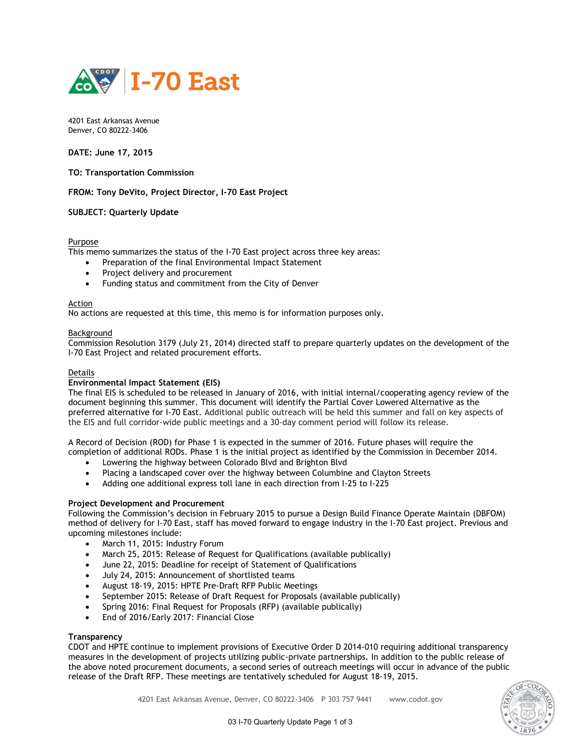

4201 East Arkansas Avenue Denver, CO 80222-3406

**DATE: June 17, 2015** 

**TO: Transportation Commission** 

**FROM: Tony DeVito, Project Director, I-70 East Project** 

## **SUBJECT: Quarterly Update**

## Purpose

This memo summarizes the status of the I-70 East project across three key areas:

- Preparation of the final Environmental Impact Statement
- Project delivery and procurement
- Funding status and commitment from the City of Denver

### Action

No actions are requested at this time, this memo is for information purposes only.

### Background

Commission Resolution 3179 (July 21, 2014) directed staff to prepare quarterly updates on the development of the I-70 East Project and related procurement efforts.

## Details

### **Environmental Impact Statement (EIS)**

The final EIS is scheduled to be released in January of 2016, with initial internal/cooperating agency review of the document beginning this summer. This document will identify the Partial Cover Lowered Alternative as the preferred alternative for I-70 East. Additional public outreach will be held this summer and fall on key aspects of the EIS and full corridor-wide public meetings and a 30-day comment period will follow its release.

A Record of Decision (ROD) for Phase 1 is expected in the summer of 2016. Future phases will require the completion of additional RODs. Phase 1 is the initial project as identified by the Commission in December 2014.

- Lowering the highway between Colorado Blvd and Brighton Blvd
- Placing a landscaped cover over the highway between Columbine and Clayton Streets
- Adding one additional express toll lane in each direction from I-25 to I-225

## **Project Development and Procurement**

Following the Commission's decision in February 2015 to pursue a Design Build Finance Operate Maintain (DBFOM) method of delivery for I-70 East, staff has moved forward to engage industry in the I-70 East project. Previous and upcoming milestones include:

- March 11, 2015: Industry Forum
- March 25, 2015: Release of Request for Qualifications (available publically)
- June 22, 2015: Deadline for receipt of Statement of Qualifications
- July 24, 2015: Announcement of shortlisted teams
- August 18-19, 2015: HPTE Pre-Draft RFP Public Meetings
- September 2015: Release of Draft Request for Proposals (available publically)
- Spring 2016: Final Request for Proposals (RFP) (available publically)
- End of 2016/Early 2017: Financial Close

## **Transparency**

CDOT and HPTE continue to implement provisions of Executive Order D 2014-010 requiring additional transparency measures in the development of projects utilizing public-private partnerships. In addition to the public release of the above noted procurement documents, a second series of outreach meetings will occur in advance of the public release of the Draft RFP. These meetings are tentatively scheduled for August 18-19, 2015.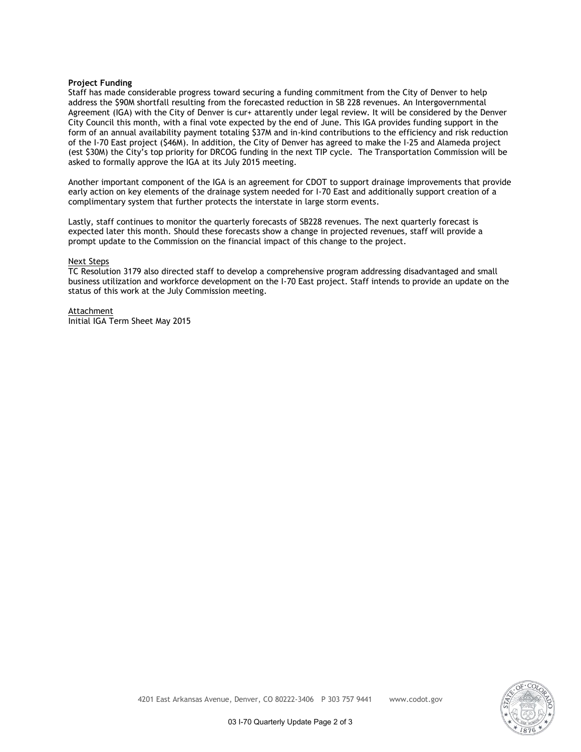## **Project Funding**

Staff has made considerable progress toward securing a funding commitment from the City of Denver to help address the \$90M shortfall resulting from the forecasted reduction in SB 228 revenues. An Intergovernmental Agreement (IGA) with the City of Denver is cur+ attarently under legal review. It will be considered by the Denver City Council this month, with a final vote expected by the end of June. This IGA provides funding support in the form of an annual availability payment totaling \$37M and in-kind contributions to the efficiency and risk reduction of the I-70 East project (\$46M). In addition, the City of Denver has agreed to make the I-25 and Alameda project (est \$30M) the City's top priority for DRCOG funding in the next TIP cycle. The Transportation Commission will be asked to formally approve the IGA at its July 2015 meeting.

Another important component of the IGA is an agreement for CDOT to support drainage improvements that provide early action on key elements of the drainage system needed for I-70 East and additionally support creation of a complimentary system that further protects the interstate in large storm events.

Lastly, staff continues to monitor the quarterly forecasts of SB228 revenues. The next quarterly forecast is expected later this month. Should these forecasts show a change in projected revenues, staff will provide a prompt update to the Commission on the financial impact of this change to the project.

### Next Steps

TC Resolution 3179 also directed staff to develop a comprehensive program addressing disadvantaged and small business utilization and workforce development on the I-70 East project. Staff intends to provide an update on the status of this work at the July Commission meeting.

Attachment Initial IGA Term Sheet May 2015